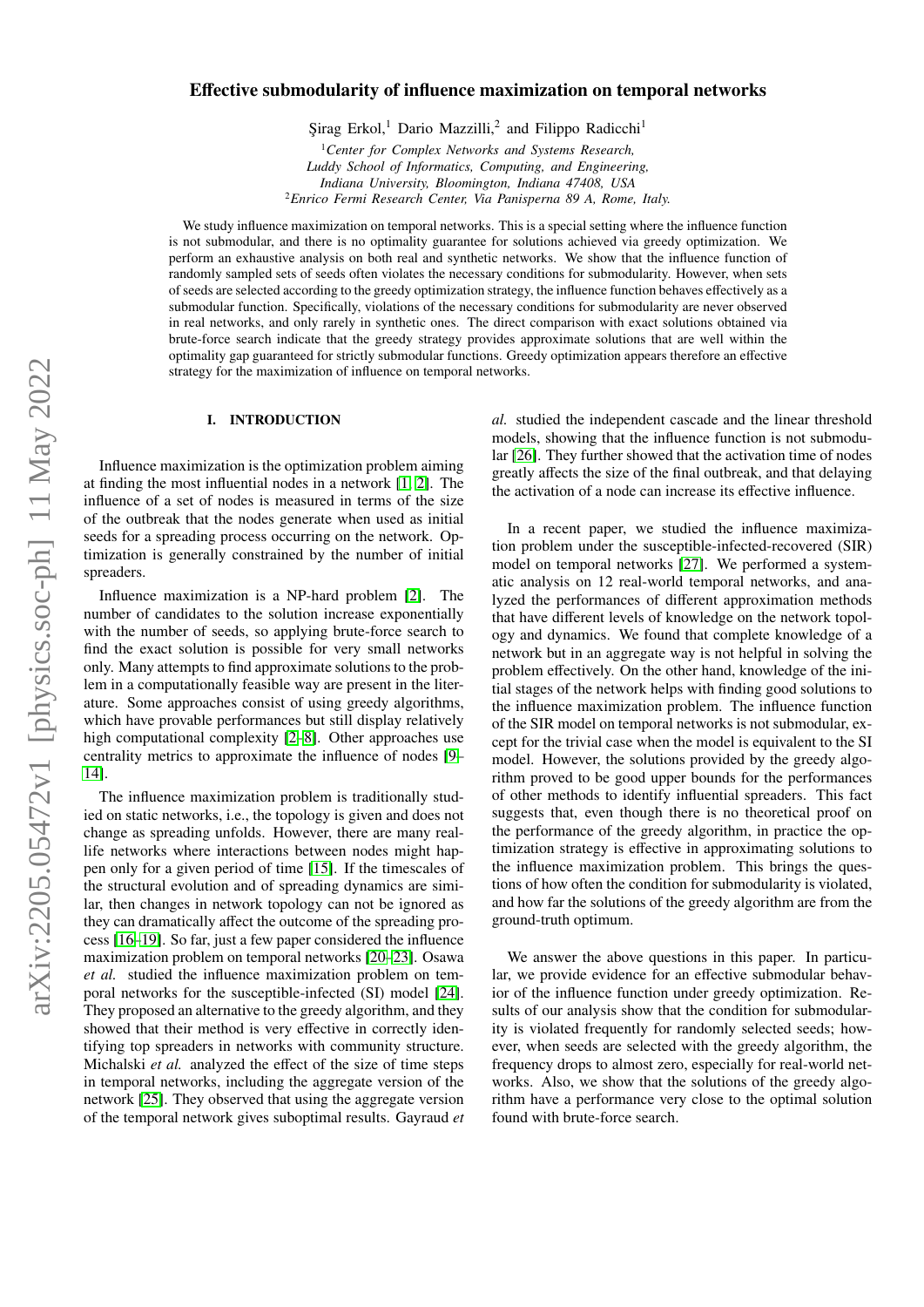# Effective submodularity of influence maximization on temporal networks

Şirag Erkol,<sup>1</sup> Dario Mazzilli,<sup>2</sup> and Filippo Radicchi<sup>1</sup>

<sup>1</sup>*Center for Complex Networks and Systems Research, Luddy School of Informatics, Computing, and Engineering, Indiana University, Bloomington, Indiana 47408, USA* <sup>2</sup>*Enrico Fermi Research Center, Via Panisperna 89 A, Rome, Italy.*

We study influence maximization on temporal networks. This is a special setting where the influence function is not submodular, and there is no optimality guarantee for solutions achieved via greedy optimization. We perform an exhaustive analysis on both real and synthetic networks. We show that the influence function of randomly sampled sets of seeds often violates the necessary conditions for submodularity. However, when sets of seeds are selected according to the greedy optimization strategy, the influence function behaves effectively as a submodular function. Specifically, violations of the necessary conditions for submodularity are never observed in real networks, and only rarely in synthetic ones. The direct comparison with exact solutions obtained via brute-force search indicate that the greedy strategy provides approximate solutions that are well within the optimality gap guaranteed for strictly submodular functions. Greedy optimization appears therefore an effective strategy for the maximization of influence on temporal networks.

# I. INTRODUCTION

Influence maximization is the optimization problem aiming at finding the most influential nodes in a network [\[1,](#page-9-0) [2\]](#page-9-1). The influence of a set of nodes is measured in terms of the size of the outbreak that the nodes generate when used as initial seeds for a spreading process occurring on the network. Optimization is generally constrained by the number of initial spreaders.

Influence maximization is a NP-hard problem [\[2\]](#page-9-1). The number of candidates to the solution increase exponentially with the number of seeds, so applying brute-force search to find the exact solution is possible for very small networks only. Many attempts to find approximate solutions to the problem in a computationally feasible way are present in the literature. Some approaches consist of using greedy algorithms, which have provable performances but still display relatively high computational complexity [\[2](#page-9-1)[–8\]](#page-9-2). Other approaches use centrality metrics to approximate the influence of nodes [\[9–](#page-9-3) [14\]](#page-9-4).

The influence maximization problem is traditionally studied on static networks, i.e., the topology is given and does not change as spreading unfolds. However, there are many reallife networks where interactions between nodes might happen only for a given period of time [\[15\]](#page-9-5). If the timescales of the structural evolution and of spreading dynamics are similar, then changes in network topology can not be ignored as they can dramatically affect the outcome of the spreading process [\[16](#page-9-6)[–19\]](#page-9-7). So far, just a few paper considered the influence maximization problem on temporal networks [\[20](#page-9-8)[–23\]](#page-9-9). Osawa *et al.* studied the influence maximization problem on temporal networks for the susceptible-infected (SI) model [\[24\]](#page-9-10). They proposed an alternative to the greedy algorithm, and they showed that their method is very effective in correctly identifying top spreaders in networks with community structure. Michalski *et al.* analyzed the effect of the size of time steps in temporal networks, including the aggregate version of the network [\[25\]](#page-9-11). They observed that using the aggregate version of the temporal network gives suboptimal results. Gayraud *et* *al.* studied the independent cascade and the linear threshold models, showing that the influence function is not submodular [\[26\]](#page-9-12). They further showed that the activation time of nodes greatly affects the size of the final outbreak, and that delaying the activation of a node can increase its effective influence.

In a recent paper, we studied the influence maximization problem under the susceptible-infected-recovered (SIR) model on temporal networks [\[27\]](#page-9-13). We performed a systematic analysis on 12 real-world temporal networks, and analyzed the performances of different approximation methods that have different levels of knowledge on the network topology and dynamics. We found that complete knowledge of a network but in an aggregate way is not helpful in solving the problem effectively. On the other hand, knowledge of the initial stages of the network helps with finding good solutions to the influence maximization problem. The influence function of the SIR model on temporal networks is not submodular, except for the trivial case when the model is equivalent to the SI model. However, the solutions provided by the greedy algorithm proved to be good upper bounds for the performances of other methods to identify influential spreaders. This fact suggests that, even though there is no theoretical proof on the performance of the greedy algorithm, in practice the optimization strategy is effective in approximating solutions to the influence maximization problem. This brings the questions of how often the condition for submodularity is violated, and how far the solutions of the greedy algorithm are from the ground-truth optimum.

We answer the above questions in this paper. In particular, we provide evidence for an effective submodular behavior of the influence function under greedy optimization. Results of our analysis show that the condition for submodularity is violated frequently for randomly selected seeds; however, when seeds are selected with the greedy algorithm, the frequency drops to almost zero, especially for real-world networks. Also, we show that the solutions of the greedy algorithm have a performance very close to the optimal solution found with brute-force search.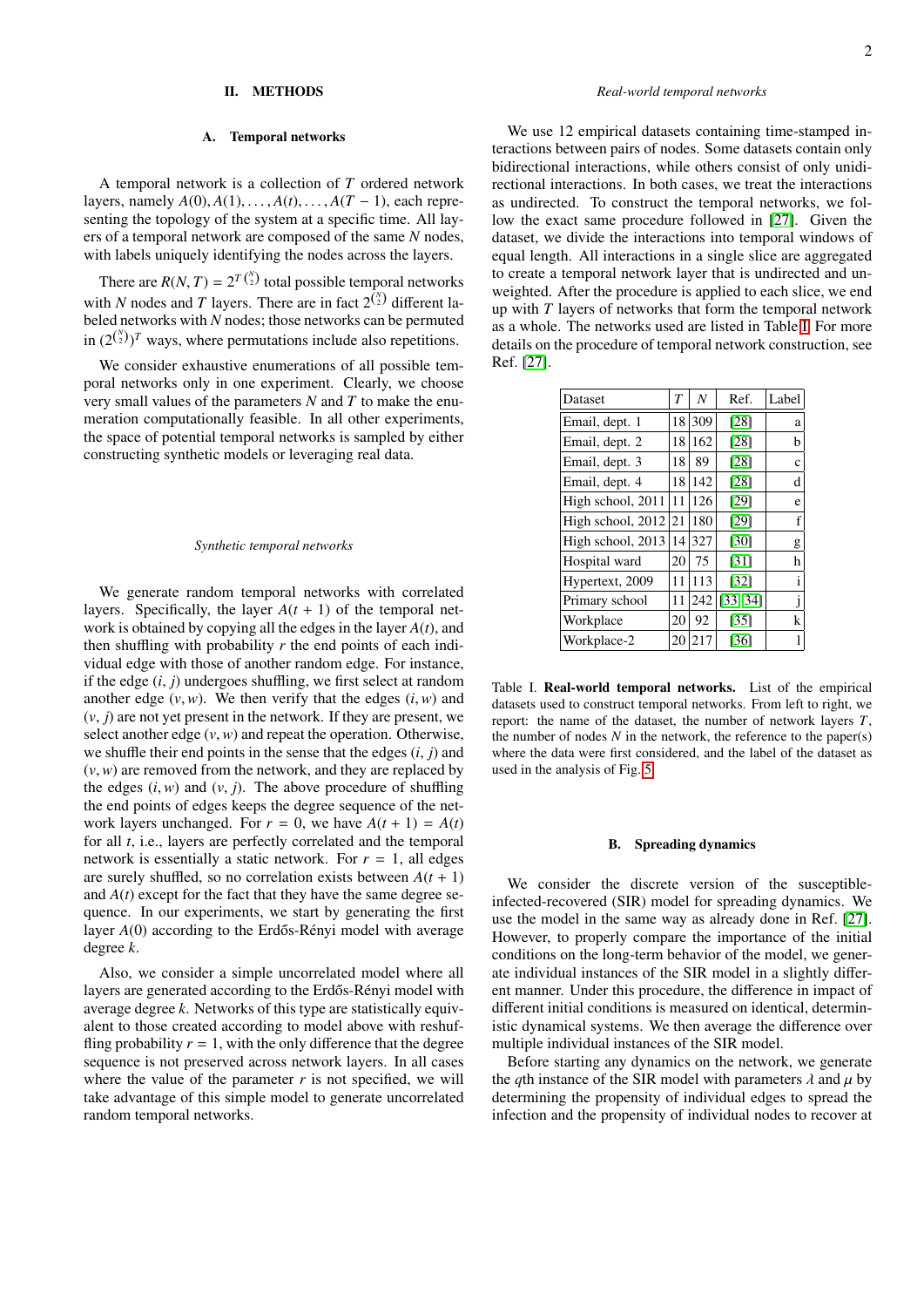## II. METHODS

#### A. Temporal networks

A temporal network is a collection of *T* ordered network layers, namely  $A(0), A(1), \ldots, A(t), \ldots, A(T-1)$ , each representing the topology of the system at a specific time. All layers of a temporal network are composed of the same *N* nodes, with labels uniquely identifying the nodes across the layers.

There are  $R(N, T) = 2^{T(\frac{1}{2})}$  total possible temporal networks with *N* nodes and *T* layers. There are in fact  $2^{N \choose 2}$  different la- $T\binom{N}{2}$  total possible temporal networks beled networks with *N* nodes; those networks can be permuted in  $(2^{N \choose 2})^T$  ways, where permutations include also repetitions.

We consider exhaustive enumerations of all possible temporal networks only in one experiment. Clearly, we choose very small values of the parameters *N* and *T* to make the enumeration computationally feasible. In all other experiments, the space of potential temporal networks is sampled by either constructing synthetic models or leveraging real data.

#### *Synthetic temporal networks*

We generate random temporal networks with correlated layers. Specifically, the layer  $A(t + 1)$  of the temporal network is obtained by copying all the edges in the layer *A*(*t*), and then shuffling with probability *r* the end points of each individual edge with those of another random edge. For instance, if the edge (*i*, *<sup>j</sup>*) undergoes shuffling, we first select at random another edge  $(v, w)$ . We then verify that the edges  $(i, w)$  and  $(v, j)$  are not yet present in the network. If they are present, we select another edge  $(v, w)$  and repeat the operation. Otherwise, we shuffle their end points in the sense that the edges (*i*, *<sup>j</sup>*) and (*v*,*w*) are removed from the network, and they are replaced by the edges  $(i, w)$  and  $(v, j)$ . The above procedure of shuffling the end points of edges keeps the degree sequence of the network layers unchanged. For  $r = 0$ , we have  $A(t + 1) = A(t)$ for all *t*, i.e., layers are perfectly correlated and the temporal network is essentially a static network. For  $r = 1$ , all edges are surely shuffled, so no correlation exists between  $A(t + 1)$ and  $A(t)$  except for the fact that they have the same degree sequence. In our experiments, we start by generating the first layer *A*(0) according to the Erdős-Rényi model with average degree *k*.

Also, we consider a simple uncorrelated model where all layers are generated according to the Erdős-Rényi model with average degree *k*. Networks of this type are statistically equivalent to those created according to model above with reshuffling probability  $r = 1$ , with the only difference that the degree sequence is not preserved across network layers. In all cases where the value of the parameter  $r$  is not specified, we will take advantage of this simple model to generate uncorrelated random temporal networks.

## *Real-world temporal networks*

We use 12 empirical datasets containing time-stamped interactions between pairs of nodes. Some datasets contain only bidirectional interactions, while others consist of only unidirectional interactions. In both cases, we treat the interactions as undirected. To construct the temporal networks, we follow the exact same procedure followed in [\[27\]](#page-9-13). Given the dataset, we divide the interactions into temporal windows of equal length. All interactions in a single slice are aggregated to create a temporal network layer that is undirected and unweighted. After the procedure is applied to each slice, we end up with *T* layers of networks that form the temporal network as a whole. The networks used are listed in Table [I.](#page-1-0) For more details on the procedure of temporal network construction, see Ref. [\[27\]](#page-9-13).

| Dataset           | $\overline{T}$ | $\boldsymbol{N}$ | Ref.              | Label        |
|-------------------|----------------|------------------|-------------------|--------------|
| Email, dept. 1    |                | 18 309           | [28]              | a            |
| Email, dept. 2    | 18             | 162              | $[28]$            | b            |
| Email, dept. 3    | 18             | 89               | [28]              | c            |
| Email, dept. 4    | 18             | 142              | [28]              | d            |
| High school, 2011 | 11             | 126              | [29]              | e            |
| High school, 2012 | 21             | 180              | [29]              | f            |
| High school, 2013 | 14             | 327              | [30]              | g            |
| Hospital ward     | 20             | 75               | [31]              | h            |
| Hypertext, 2009   | 11             | 113              | $[32]$            | i            |
| Primary school    | 11             | 242              | [33, 34]          | $\mathbf{I}$ |
| Workplace         | 20             | 92               | $\left[35\right]$ | k            |
| Workplace-2       | 20             | 217              | [36]              |              |

<span id="page-1-0"></span>Table I. Real-world temporal networks. List of the empirical datasets used to construct temporal networks. From left to right, we report: the name of the dataset, the number of network layers *T*, the number of nodes  $N$  in the network, the reference to the paper(s) where the data were first considered, and the label of the dataset as used in the analysis of Fig. [5.](#page-6-0)

#### B. Spreading dynamics

We consider the discrete version of the susceptibleinfected-recovered (SIR) model for spreading dynamics. We use the model in the same way as already done in Ref. [\[27\]](#page-9-13). However, to properly compare the importance of the initial conditions on the long-term behavior of the model, we generate individual instances of the SIR model in a slightly different manner. Under this procedure, the difference in impact of different initial conditions is measured on identical, deterministic dynamical systems. We then average the difference over multiple individual instances of the SIR model.

Before starting any dynamics on the network, we generate the *q*th instance of the SIR model with parameters  $\lambda$  and  $\mu$  by determining the propensity of individual edges to spread the infection and the propensity of individual nodes to recover at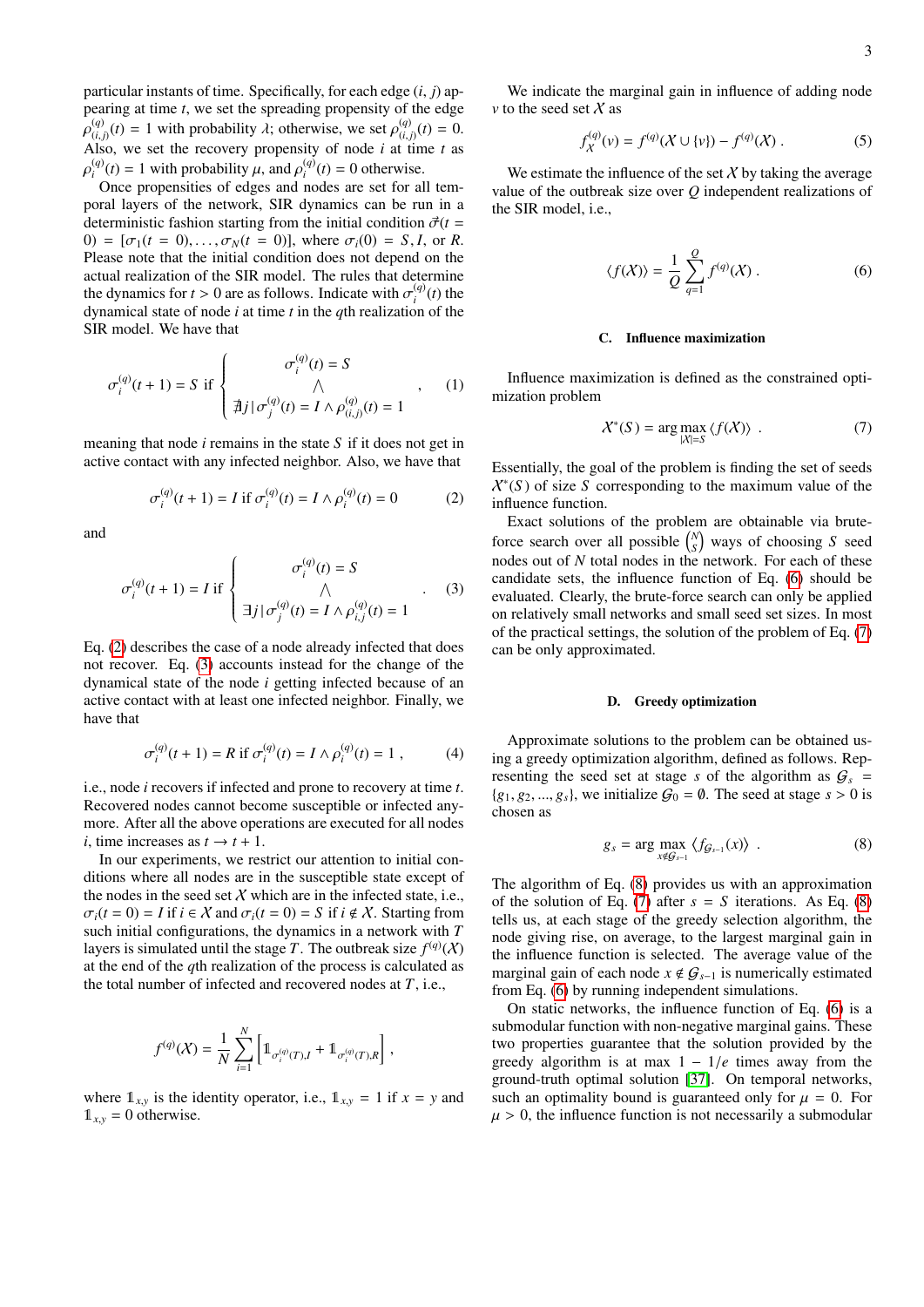particular instants of time. Specifically, for each edge (*i*, *<sup>j</sup>*) appearing at time *t*, we set the spreading propensity of the edge  $P(i,j)$ <sup>(*i*</sup>) – 1 with probability *n*, otherwise, we set  $P(i,j)$ <sup>(*i*</sup>) – 0.<br>Also, we set the recovery propensity of node *i* at time *t* as (*a*)  $(t) = 1$  with probability  $\lambda$ ; otherwise, we set  $\rho_{(i,j)}^{(q)}(t) = 0$ .<br>
(*t*) the set the recovery propensity of node *i* at time t as (*q*)  $\mu_i^{(q)}(t) = 1$  with probability  $\mu$ , and  $\rho_i^{(q)}$ <br>
Once propensities of edges and no  $i^{(q)}(t) = 0$  otherwise.

ρ Once propensities of edges and nodes are set for all temporal layers of the network, SIR dynamics can be run in a deterministic fashion starting from the initial condition  $\vec{\sigma}(t)$ 0) =  $[\sigma_1(t = 0), \ldots, \sigma_N(t = 0)]$ , where  $\sigma_i(0) = S, I$ , or *R*. Please note that the initial condition does not depend on the actual realization of the SIR model. The rules that determine the dynamics for  $t > 0$  are as follows. Indicate with  $\sigma_t^{(q)}$  dynamical state of node *i* at time *t* in the *a*th realization  $\binom{q}{i}(t)$  the dynamical state of node *i* at time *t* in the *q*th realization of the SIR model. We have that

$$
\sigma_i^{(q)}(t+1) = S \text{ if } \begin{cases} \sigma_i^{(q)}(t) = S \\ \wedge \\ \nexists j \mid \sigma_j^{(q)}(t) = I \wedge \rho_{(i,j)}^{(q)}(t) = 1 \end{cases}, \quad (1)
$$

meaning that node *i* remains in the state *S* if it does not get in active contact with any infected neighbor. Also, we have that

<span id="page-2-0"></span>
$$
\sigma_i^{(q)}(t+1) = I \text{ if } \sigma_i^{(q)}(t) = I \wedge \rho_i^{(q)}(t) = 0 \tag{2}
$$

and

<span id="page-2-1"></span>
$$
\sigma_i^{(q)}(t+1) = I \text{ if } \begin{cases} \sigma_i^{(q)}(t) = S \\ \wedge \\ \exists j \mid \sigma_j^{(q)}(t) = I \wedge \rho_{i,j}^{(q)}(t) = 1 \end{cases} . \quad (3)
$$

Eq. [\(2\)](#page-2-0) describes the case of a node already infected that does not recover. Eq. [\(3\)](#page-2-1) accounts instead for the change of the dynamical state of the node *i* getting infected because of an active contact with at least one infected neighbor. Finally, we have that

$$
\sigma_i^{(q)}(t+1) = R \text{ if } \sigma_i^{(q)}(t) = I \wedge \rho_i^{(q)}(t) = 1 , \qquad (4)
$$

i.e., node *i* recovers if infected and prone to recovery at time *t*. Recovered nodes cannot become susceptible or infected anymore. After all the above operations are executed for all nodes *i*, time increases as  $t \rightarrow t + 1$ .

In our experiments, we restrict our attention to initial conditions where all nodes are in the susceptible state except of the nodes in the seed set  $X$  which are in the infected state, i.e.,  $\sigma_i(t=0) = I$  if  $i \in \mathcal{X}$  and  $\sigma_i(t=0) = S$  if  $i \notin \mathcal{X}$ . Starting from such initial configurations, the dynamics in a network with *T* layers is simulated until the stage *T*. The outbreak size  $f^{(q)}(\mathcal{X})$ at the end of the *q*th realization of the process is calculated as the total number of infected and recovered nodes at *T*, i.e.,

$$
f^{(q)}(\mathcal{X}) = \frac{1}{N} \sum_{i=1}^N \left[ \mathbb{1}_{\sigma_i^{(q)}(T),I} + \mathbb{1}_{\sigma_i^{(q)}(T),R} \right],
$$

where  $\mathbb{1}_{x,y}$  is the identity operator, i.e.,  $\mathbb{1}_{x,y} = 1$  if  $x = y$  and  $1_{xy} = 0$  otherwise.

We indicate the marginal gain in influence of adding node *v* to the seed set  $X$  as

<span id="page-2-5"></span>
$$
f_X^{(q)}(\nu) = f^{(q)}(X \cup \{\nu\}) - f^{(q)}(X) . \tag{5}
$$

We estimate the influence of the set  $X$  by taking the average value of the outbreak size over *Q* independent realizations of the SIR model, i.e.,

<span id="page-2-2"></span>
$$
\langle f(X) \rangle = \frac{1}{Q} \sum_{q=1}^{Q} f^{(q)}(X) . \tag{6}
$$

### C. Influence maximization

Influence maximization is defined as the constrained optimization problem

<span id="page-2-3"></span>
$$
\mathcal{X}^*(S) = \arg \max_{|\mathcal{X}|=S} \langle f(\mathcal{X}) \rangle . \tag{7}
$$

Essentially, the goal of the problem is finding the set of seeds X∗ (*S* ) of size *S* corresponding to the maximum value of the influence function.

Exact solutions of the problem are obtainable via bruteforce search over all possible  $\binom{N}{S}$  ways of choosing *S* seed nodes out of *N* total nodes in the network. For each of these candidate sets, the influence function of Eq. [\(6\)](#page-2-2) should be evaluated. Clearly, the brute-force search can only be applied on relatively small networks and small seed set sizes. In most of the practical settings, the solution of the problem of Eq. [\(7\)](#page-2-3) can be only approximated.

### D. Greedy optimization

Approximate solutions to the problem can be obtained using a greedy optimization algorithm, defined as follows. Representing the seed set at stage *s* of the algorithm as  $G_s$  =  ${g_1, g_2, ..., g_s}$ , we initialize  $G_0 = \emptyset$ . The seed at stage  $s > 0$  is chosen as

<span id="page-2-4"></span>
$$
g_s = \arg\max_{x \notin \mathcal{G}_{s-1}} \langle f_{\mathcal{G}_{s-1}}(x) \rangle . \tag{8}
$$

The algorithm of Eq. [\(8\)](#page-2-4) provides us with an approximation of the solution of Eq. [\(7\)](#page-2-3) after  $s = S$  iterations. As Eq. [\(8\)](#page-2-4) tells us, at each stage of the greedy selection algorithm, the node giving rise, on average, to the largest marginal gain in the influence function is selected. The average value of the marginal gain of each node  $x \notin G_{s-1}$  is numerically estimated from Eq. [\(6\)](#page-2-2) by running independent simulations.

On static networks, the influence function of Eq. [\(6\)](#page-2-2) is a submodular function with non-negative marginal gains. These two properties guarantee that the solution provided by the greedy algorithm is at max  $1 - 1/e$  times away from the ground-truth optimal solution [\[37\]](#page-10-3). On temporal networks, such an optimality bound is guaranteed only for  $\mu = 0$ . For  $\mu > 0$ , the influence function is not necessarily a submodular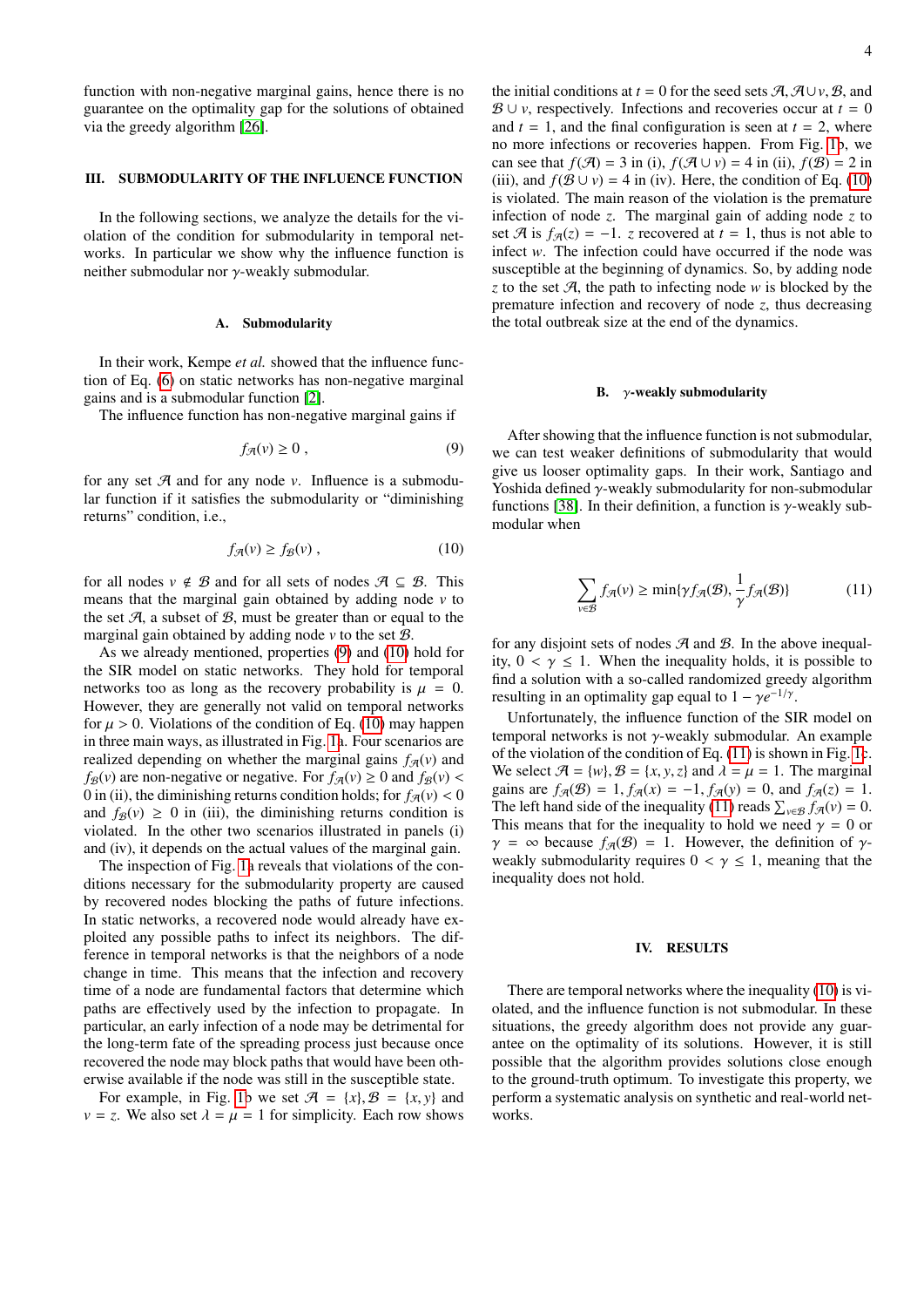function with non-negative marginal gains, hence there is no guarantee on the optimality gap for the solutions of obtained via the greedy algorithm [\[26\]](#page-9-12).

### III. SUBMODULARITY OF THE INFLUENCE FUNCTION

In the following sections, we analyze the details for the violation of the condition for submodularity in temporal networks. In particular we show why the influence function is neither submodular nor γ-weakly submodular.

### A. Submodularity

In their work, Kempe *et al.* showed that the influence function of Eq. [\(6\)](#page-2-2) on static networks has non-negative marginal gains and is a submodular function [\[2\]](#page-9-1).

The influence function has non-negative marginal gains if

<span id="page-3-0"></span>
$$
f_{\mathcal{A}}(v) \ge 0 , \qquad (9)
$$

for any set  $A$  and for any node  $v$ . Influence is a submodular function if it satisfies the submodularity or "diminishing returns" condition, i.e.,

<span id="page-3-1"></span>
$$
f_{\mathcal{A}}(v) \ge f_{\mathcal{B}}(v) ,\qquad (10)
$$

for all nodes  $v \notin B$  and for all sets of nodes  $\mathcal{A} \subseteq B$ . This means that the marginal gain obtained by adding node *v* to the set  $A$ , a subset of  $B$ , must be greater than or equal to the marginal gain obtained by adding node  $\nu$  to the set  $\mathcal{B}$ .

As we already mentioned, properties [\(9\)](#page-3-0) and [\(10\)](#page-3-1) hold for the SIR model on static networks. They hold for temporal networks too as long as the recovery probability is  $\mu = 0$ . However, they are generally not valid on temporal networks for  $\mu > 0$ . Violations of the condition of Eq. [\(10\)](#page-3-1) may happen in three main ways, as illustrated in Fig. [1a](#page-4-0). Four scenarios are realized depending on whether the marginal gains  $f_{\mathcal{A}}(v)$  and  $f_{\mathcal{B}}(v)$  are non-negative or negative. For  $f_{\mathcal{A}}(v) \ge 0$  and  $f_{\mathcal{B}}(v)$  < 0 in (ii), the diminishing returns condition holds; for  $f_{\mathcal{A}}(v) < 0$ and  $f_{\mathcal{B}}(v) \ge 0$  in (iii), the diminishing returns condition is violated. In the other two scenarios illustrated in panels (i) and (iv), it depends on the actual values of the marginal gain.

The inspection of Fig. [1a](#page-4-0) reveals that violations of the conditions necessary for the submodularity property are caused by recovered nodes blocking the paths of future infections. In static networks, a recovered node would already have exploited any possible paths to infect its neighbors. The difference in temporal networks is that the neighbors of a node change in time. This means that the infection and recovery time of a node are fundamental factors that determine which paths are effectively used by the infection to propagate. In particular, an early infection of a node may be detrimental for the long-term fate of the spreading process just because once recovered the node may block paths that would have been otherwise available if the node was still in the susceptible state.

For example, in Fig. [1b](#page-4-0) we set  $\mathcal{A} = \{x\}, \mathcal{B} = \{x, y\}$  and  $v = z$ . We also set  $\lambda = \mu = 1$  for simplicity. Each row shows the initial conditions at *t* = 0 for the seed sets  $\mathcal{A}, \mathcal{A} \cup v, \mathcal{B}$ , and  $B \cup v$ , respectively. Infections and recoveries occur at  $t = 0$ and  $t = 1$ , and the final configuration is seen at  $t = 2$ , where no more infections or recoveries happen. From Fig. [1b](#page-4-0), we can see that  $f(\mathcal{A}) = 3$  in (i),  $f(\mathcal{A} \cup v) = 4$  in (ii),  $f(\mathcal{B}) = 2$  in (iii), and  $f(\mathcal{B} \cup v) = 4$  in (iv). Here, the condition of Eq. [\(10\)](#page-3-1) is violated. The main reason of the violation is the premature infection of node *z*. The marginal gain of adding node *z* to set  $\mathcal{A}$  is  $f_{\mathcal{A}}(z) = -1$ . *z* recovered at  $t = 1$ , thus is not able to infect *w*. The infection could have occurred if the node was susceptible at the beginning of dynamics. So, by adding node *z* to the set  $\mathcal{A}$ , the path to infecting node *w* is blocked by the premature infection and recovery of node *z*, thus decreasing the total outbreak size at the end of the dynamics.

#### B.  $\gamma$ -weakly submodularity

After showing that the influence function is not submodular, we can test weaker definitions of submodularity that would give us looser optimality gaps. In their work, Santiago and Yoshida defined γ-weakly submodularity for non-submodular functions [\[38\]](#page-10-4). In their definition, a function is  $\gamma$ -weakly submodular when

<span id="page-3-2"></span>
$$
\sum_{v \in \mathcal{B}} f_{\mathcal{A}}(v) \ge \min\{\gamma f_{\mathcal{A}}(\mathcal{B}), \frac{1}{\gamma} f_{\mathcal{A}}(\mathcal{B})\} \tag{11}
$$

for any disjoint sets of nodes  $A$  and  $B$ . In the above inequality,  $0 < \gamma \leq 1$ . When the inequality holds, it is possible to find a solution with a so-called randomized greedy algorithm resulting in an optimality gap equal to  $1 - \gamma e^{-1/\gamma}$ .

Unfortunately, the influence function of the SIR model on temporal networks is not γ-weakly submodular. An example of the violation of the condition of Eq. [\(11\)](#page-3-2) is shown in Fig. [1c](#page-4-0). We select  $\mathcal{A} = \{w\}, \mathcal{B} = \{x, y, z\}$  and  $\lambda = \mu = 1$ . The marginal gains are  $f_{\mathcal{A}}(\mathcal{B}) = 1$ ,  $f_{\mathcal{A}}(x) = -1$ ,  $f_{\mathcal{A}}(y) = 0$ , and  $f_{\mathcal{A}}(z) = 1$ . The left hand side of the inequality [\(11\)](#page-3-2) reads  $\sum_{v \in \mathcal{B}} f_{\mathcal{A}}(v) = 0$ . This means that for the inequality to hold we need  $\gamma = 0$  or  $\gamma = \infty$  because  $f_{\mathcal{A}}(\mathcal{B}) = 1$ . However, the definition of  $\gamma$ weakly submodularity requires  $0 < \gamma \leq 1$ , meaning that the inequality does not hold.

### IV. RESULTS

There are temporal networks where the inequality [\(10\)](#page-3-1) is violated, and the influence function is not submodular. In these situations, the greedy algorithm does not provide any guarantee on the optimality of its solutions. However, it is still possible that the algorithm provides solutions close enough to the ground-truth optimum. To investigate this property, we perform a systematic analysis on synthetic and real-world networks.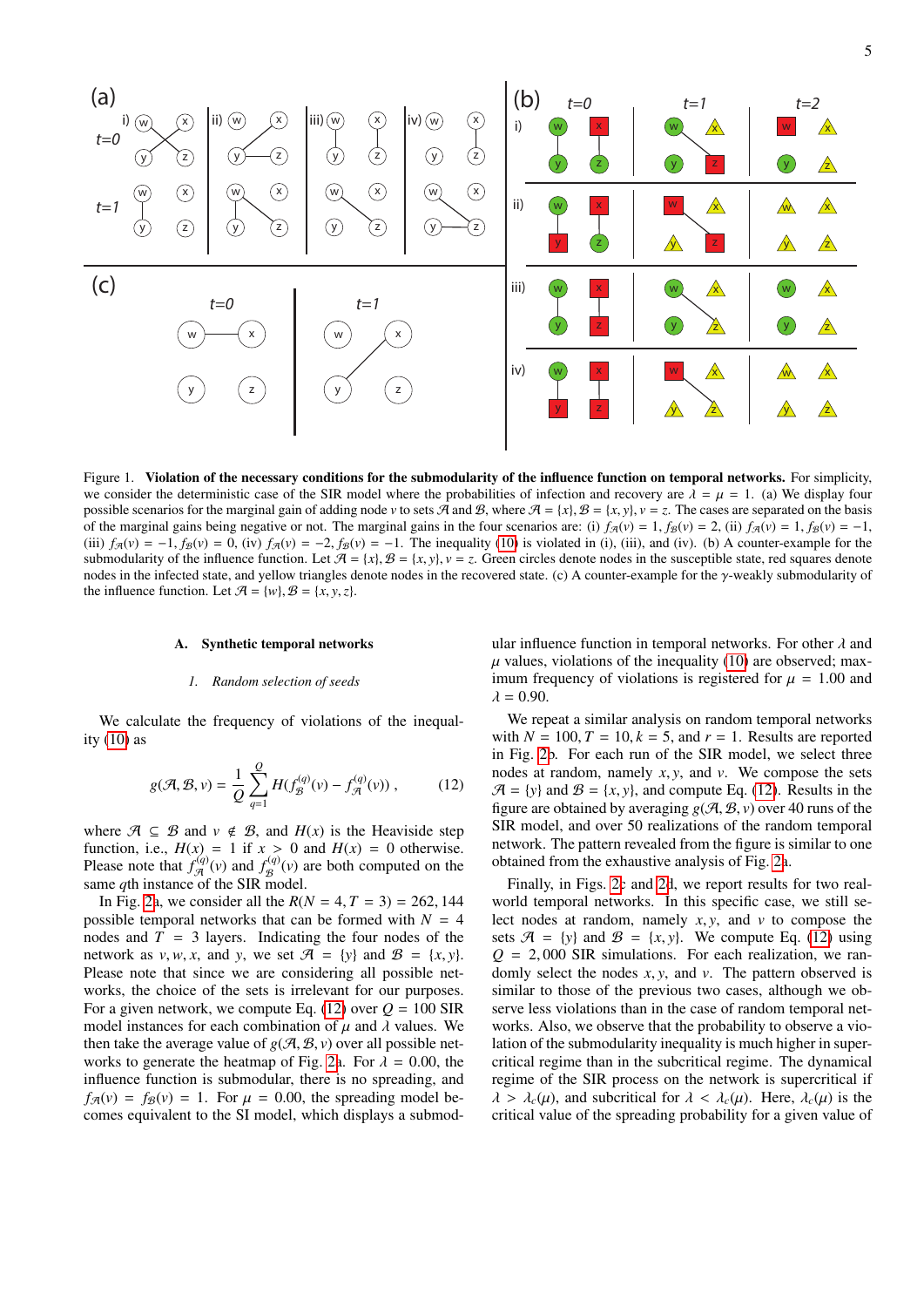

<span id="page-4-0"></span>Figure 1. Violation of the necessary conditions for the submodularity of the influence function on temporal networks. For simplicity, we consider the deterministic case of the SIR model where the probabilities of infection and recovery are  $\lambda = \mu = 1$ . (a) We display four possible scenarios for the marginal gain of adding node *v* to sets A and B, where  $A = \{x\}$ ,  $B = \{x, y\}$ ,  $v = z$ . The cases are separated on the basis of the marginal gains being negative or not. The marginal gains in the four scenarios are: (i)  $f_{\mathcal{A}}(v) = 1$ ,  $f_{\mathcal{B}}(v) = 2$ , (ii)  $f_{\mathcal{A}}(v) = 1$ ,  $f_{\mathcal{B}}(v) = -1$ , (iii)  $f_{\mathcal{A}}(v) = -1$ ,  $f_{\mathcal{B}}(v) = 0$ , (iv)  $f_{\mathcal{A}}(v) = -2$ ,  $f_{\mathcal{B}}(v) = -1$ . The inequality [\(10\)](#page-3-1) is violated in (i), (iii), and (iv). (b) A counter-example for the submodularity of the influence function. Let  $\mathcal{A} = \{x\}$ ,  $\mathcal{B} = \{x, y\}$ ,  $v = z$ . Green circles denote nodes in the susceptible state, red squares denote nodes in the infected state, and yellow triangles denote nodes in the recovered state. (c) A counter-example for the γ-weakly submodularity of the influence function. Let  $\mathcal{A} = \{w\}, \mathcal{B} = \{x, y, z\}.$ 

#### A. Synthetic temporal networks

#### *1. Random selection of seeds*

We calculate the frequency of violations of the inequality  $(10)$  as

<span id="page-4-1"></span>
$$
g(\mathcal{A}, \mathcal{B}, v) = \frac{1}{Q} \sum_{q=1}^{Q} H(f_{\mathcal{B}}^{(q)}(v) - f_{\mathcal{A}}^{(q)}(v)),
$$
 (12)

where  $\mathcal{A} \subseteq \mathcal{B}$  and  $v \notin \mathcal{B}$ , and  $H(x)$  is the Heaviside step function, i.e.,  $H(x) = 1$  if  $x > 0$  and  $H(x) = 0$  otherwise.<br>Please note that  $f_{\mathcal{A}}^{(q)}(v)$  and  $f_{\mathcal{B}}^{(q)}(v)$  are both computed on the  $\mathcal{B}^{(q)}(v)$  are both computed on the same *q*th instance of the SIR model.

In Fig. [2a](#page-5-0), we consider all the  $R(N = 4, T = 3) = 262, 144$ possible temporal networks that can be formed with  $N = 4$ nodes and  $T = 3$  layers. Indicating the four nodes of the network as  $v, w, x$ , and  $y$ , we set  $\mathcal{A} = \{y\}$  and  $\mathcal{B} = \{x, y\}$ . Please note that since we are considering all possible networks, the choice of the sets is irrelevant for our purposes. For a given network, we compute Eq. [\(12\)](#page-4-1) over  $Q = 100$  SIR model instances for each combination of  $\mu$  and  $\lambda$  values. We then take the average value of  $g(\mathcal{A}, \mathcal{B}, v)$  over all possible net-works to generate the heatmap of Fig. [2a](#page-5-0). For  $\lambda = 0.00$ , the influence function is submodular, there is no spreading, and  $f_{\mathcal{B}}(v) = f_{\mathcal{B}}(v) = 1$ . For  $\mu = 0.00$ , the spreading model becomes equivalent to the SI model, which displays a submod-

ular influence function in temporal networks. For other  $\lambda$  and  $\mu$  values, violations of the inequality [\(10\)](#page-3-1) are observed; maximum frequency of violations is registered for  $\mu = 1.00$  and  $\lambda = 0.90$ .

We repeat a similar analysis on random temporal networks with  $N = 100$ ,  $T = 10$ ,  $k = 5$ , and  $r = 1$ . Results are reported in Fig. [2b](#page-5-0). For each run of the SIR model, we select three nodes at random, namely *<sup>x</sup>*, *<sup>y</sup>*, and *<sup>v</sup>*. We compose the sets  $\mathcal{A} = \{y\}$  and  $\mathcal{B} = \{x, y\}$ , and compute Eq. [\(12\)](#page-4-1). Results in the figure are obtained by averaging  $g(\mathcal{A}, \mathcal{B}, v)$  over 40 runs of the SIR model, and over 50 realizations of the random temporal network. The pattern revealed from the figure is similar to one obtained from the exhaustive analysis of Fig. [2a](#page-5-0).

Finally, in Figs. [2c](#page-5-0) and [2d](#page-5-0), we report results for two realworld temporal networks. In this specific case, we still select nodes at random, namely *<sup>x</sup>*, *<sup>y</sup>*, and *<sup>v</sup>* to compose the sets  $\mathcal{A} = \{y\}$  and  $\mathcal{B} = \{x, y\}$ . We compute Eq. [\(12\)](#page-4-1) using  $Q = 2,000$  SIR simulations. For each realization, we randomly select the nodes *<sup>x</sup>*, *<sup>y</sup>*, and *<sup>v</sup>*. The pattern observed is similar to those of the previous two cases, although we observe less violations than in the case of random temporal networks. Also, we observe that the probability to observe a violation of the submodularity inequality is much higher in supercritical regime than in the subcritical regime. The dynamical regime of the SIR process on the network is supercritical if  $\lambda > \lambda_c(\mu)$ , and subcritical for  $\lambda < \lambda_c(\mu)$ . Here,  $\lambda_c(\mu)$  is the critical value of the spreading probability for a given value of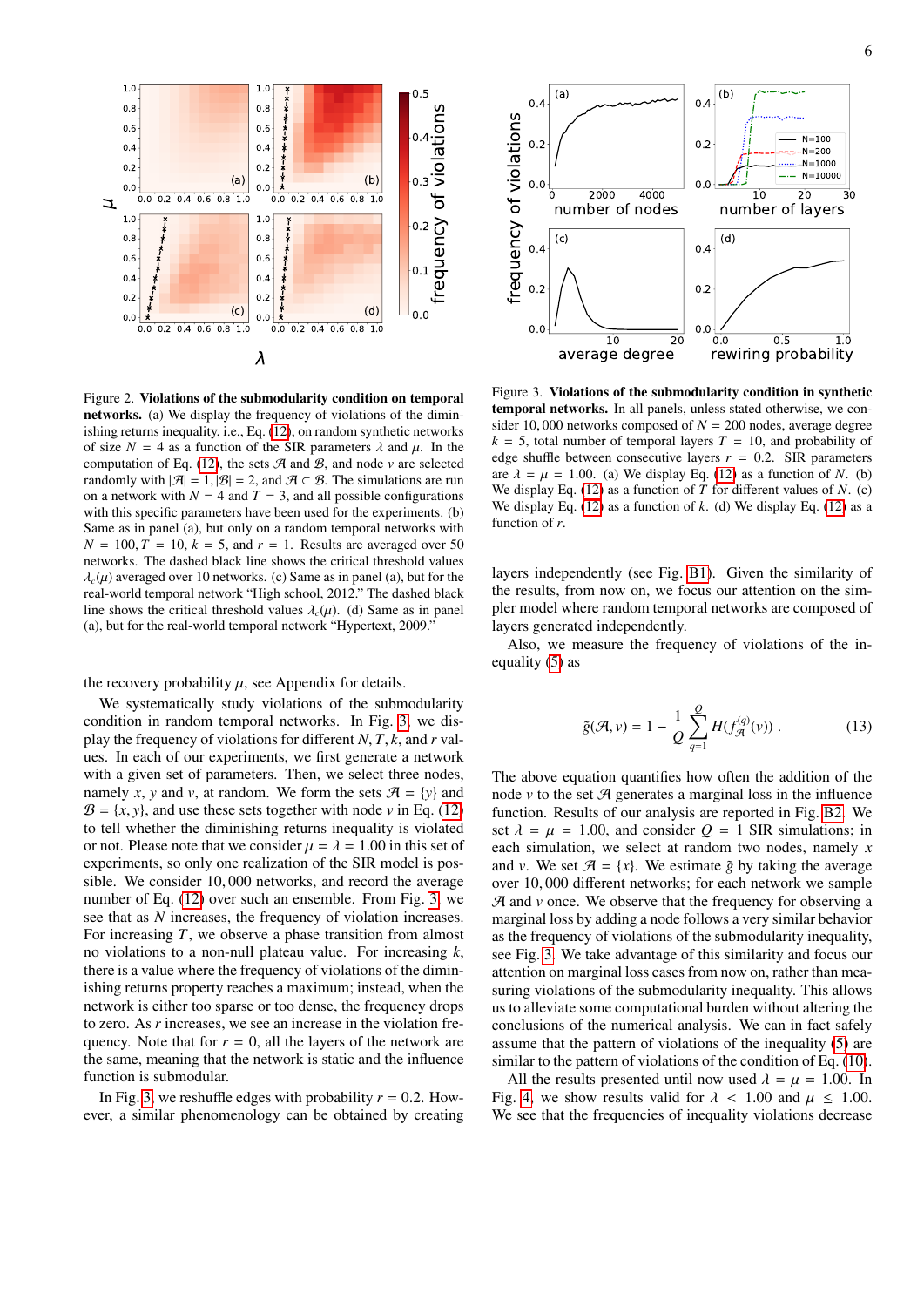

<span id="page-5-0"></span>Figure 2. Violations of the submodularity condition on temporal networks. (a) We display the frequency of violations of the diminishing returns inequality, i.e., Eq. [\(12\)](#page-4-1), on random synthetic networks of size  $N = 4$  as a function of the SIR parameters  $\lambda$  and  $\mu$ . In the computation of Eq. [\(12\)](#page-4-1), the sets  $A$  and  $B$ , and node  $\nu$  are selected randomly with  $|\mathcal{A}| = 1$ ,  $|\mathcal{B}| = 2$ , and  $\mathcal{A} \subset \mathcal{B}$ . The simulations are run on a network with  $N = 4$  and  $T = 3$ , and all possible configurations with this specific parameters have been used for the experiments. (b) Same as in panel (a), but only on a random temporal networks with  $N = 100$ ,  $T = 10$ ,  $k = 5$ , and  $r = 1$ . Results are averaged over 50 networks. The dashed black line shows the critical threshold values  $\lambda_c(\mu)$  averaged over 10 networks. (c) Same as in panel (a), but for the real-world temporal network "High school, 2012." The dashed black line shows the critical threshold values  $\lambda_c(\mu)$ . (d) Same as in panel (a), but for the real-world temporal network "Hypertext, 2009."

#### the recovery probability  $\mu$ , see Appendix for details.

We systematically study violations of the submodularity condition in random temporal networks. In Fig. [3,](#page-5-1) we display the frequency of violations for different *<sup>N</sup>*, *<sup>T</sup>*, *<sup>k</sup>*, and *<sup>r</sup>* values. In each of our experiments, we first generate a network with a given set of parameters. Then, we select three nodes, namely *x*, *y* and *v*, at random. We form the sets  $\mathcal{A} = \{y\}$  and  $\mathcal{B} = \{x, y\}$ , and use these sets together with node *v* in Eq. [\(12\)](#page-4-1) to tell whether the diminishing returns inequality is violated or not. Please note that we consider  $\mu = \lambda = 1.00$  in this set of experiments, so only one realization of the SIR model is possible. We consider 10, 000 networks, and record the average number of Eq. [\(12\)](#page-4-1) over such an ensemble. From Fig. [3,](#page-5-1) we see that as *N* increases, the frequency of violation increases. For increasing *T*, we observe a phase transition from almost no violations to a non-null plateau value. For increasing *k*, there is a value where the frequency of violations of the diminishing returns property reaches a maximum; instead, when the network is either too sparse or too dense, the frequency drops to zero. As *r* increases, we see an increase in the violation frequency. Note that for  $r = 0$ , all the layers of the network are the same, meaning that the network is static and the influence function is submodular.

In Fig. [3,](#page-5-1) we reshuffle edges with probability  $r = 0.2$ . However, a similar phenomenology can be obtained by creating



<span id="page-5-1"></span>Figure 3. Violations of the submodularity condition in synthetic temporal networks. In all panels, unless stated otherwise, we consider 10,000 networks composed of  $N = 200$  nodes, average degree  $k = 5$ , total number of temporal layers  $T = 10$ , and probability of edge shuffle between consecutive layers  $r = 0.2$ . SIR parameters are  $\lambda = \mu = 1.00$ . (a) We display Eq. [\(12\)](#page-4-1) as a function of *N*. (b) We display Eq. [\(12\)](#page-4-1) as a function of *T* for different values of *N*. (c) We display Eq.  $(12)$  as a function of  $k$ .  $(d)$  We display Eq.  $(12)$  as a function of *r*.

layers independently (see Fig. [B1\)](#page-4-0). Given the similarity of the results, from now on, we focus our attention on the simpler model where random temporal networks are composed of layers generated independently.

Also, we measure the frequency of violations of the inequality [\(5\)](#page-2-5) as

<span id="page-5-2"></span>
$$
\tilde{g}(\mathcal{A}, v) = 1 - \frac{1}{Q} \sum_{q=1}^{Q} H(f_{\mathcal{A}}^{(q)}(v)) .
$$
 (13)

The above equation quantifies how often the addition of the node  $\nu$  to the set  $\mathcal A$  generates a marginal loss in the influence function. Results of our analysis are reported in Fig. [B2.](#page-5-0) We set  $\lambda = \mu = 1.00$ , and consider  $Q = 1$  SIR simulations; in each simulation, we select at random two nodes, namely *x* and *v*. We set  $\mathcal{A} = \{x\}$ . We estimate  $\tilde{g}$  by taking the average over 10, 000 different networks; for each network we sample  $A$  and  $\nu$  once. We observe that the frequency for observing a marginal loss by adding a node follows a very similar behavior as the frequency of violations of the submodularity inequality, see Fig. [3.](#page-5-1) We take advantage of this similarity and focus our attention on marginal loss cases from now on, rather than measuring violations of the submodularity inequality. This allows us to alleviate some computational burden without altering the conclusions of the numerical analysis. We can in fact safely assume that the pattern of violations of the inequality [\(5\)](#page-2-5) are similar to the pattern of violations of the condition of Eq. [\(10\)](#page-3-1).

All the results presented until now used  $\lambda = \mu = 1.00$ . In Fig. [4,](#page-6-1) we show results valid for  $\lambda$  < 1.00 and  $\mu$   $\leq$  1.00. We see that the frequencies of inequality violations decrease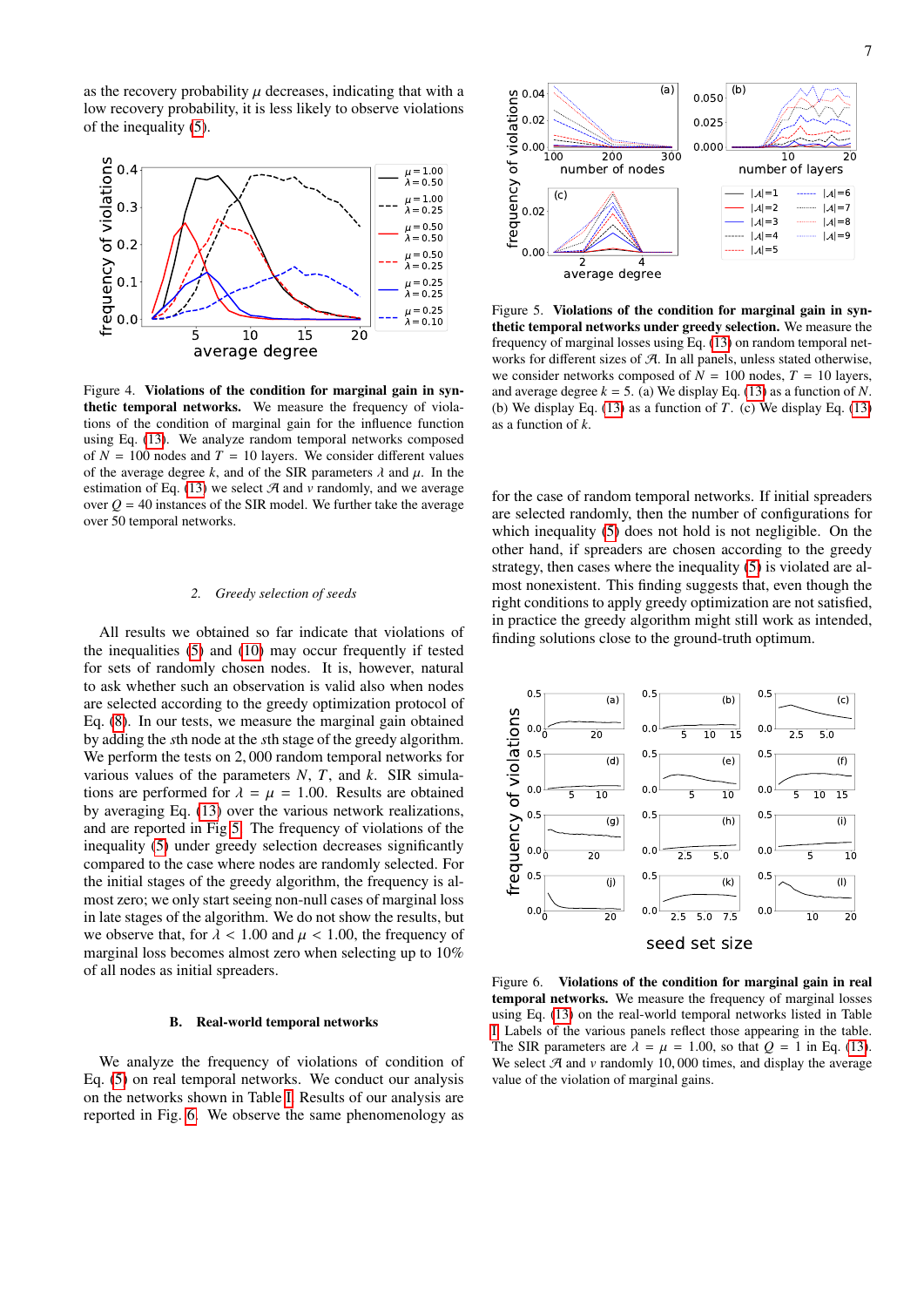as the recovery probability  $\mu$  decreases, indicating that with a low recovery probability, it is less likely to observe violations of the inequality [\(5\)](#page-2-5).



<span id="page-6-1"></span>Figure 4. Violations of the condition for marginal gain in synthetic temporal networks. We measure the frequency of violations of the condition of marginal gain for the influence function using Eq. [\(13\)](#page-5-2). We analyze random temporal networks composed of  $N = 100$  nodes and  $T = 10$  layers. We consider different values of the average degree *k*, and of the SIR parameters  $\lambda$  and  $\mu$ . In the estimation of Eq.  $(13)$  we select  $A$  and  $v$  randomly, and we average over  $Q = 40$  instances of the SIR model. We further take the average over 50 temporal networks.

### *2. Greedy selection of seeds*

All results we obtained so far indicate that violations of the inequalities [\(5\)](#page-2-5) and [\(10\)](#page-3-1) may occur frequently if tested for sets of randomly chosen nodes. It is, however, natural to ask whether such an observation is valid also when nodes are selected according to the greedy optimization protocol of Eq. [\(8\)](#page-2-4). In our tests, we measure the marginal gain obtained by adding the *s*th node at the *s*th stage of the greedy algorithm. We perform the tests on 2, 000 random temporal networks for various values of the parameters *N*, *T*, and *k*. SIR simulations are performed for  $\lambda = \mu = 1.00$ . Results are obtained by averaging Eq. [\(13\)](#page-5-2) over the various network realizations, and are reported in Fig [5.](#page-6-0) The frequency of violations of the inequality [\(5\)](#page-2-5) under greedy selection decreases significantly compared to the case where nodes are randomly selected. For the initial stages of the greedy algorithm, the frequency is almost zero; we only start seeing non-null cases of marginal loss in late stages of the algorithm. We do not show the results, but we observe that, for  $\lambda$  < 1.00 and  $\mu$  < 1.00, the frequency of marginal loss becomes almost zero when selecting up to 10% of all nodes as initial spreaders.

#### B. Real-world temporal networks

We analyze the frequency of violations of condition of Eq. [\(5\)](#page-2-5) on real temporal networks. We conduct our analysis on the networks shown in Table [I.](#page-1-0) Results of our analysis are reported in Fig. [6.](#page-6-2) We observe the same phenomenology as



<span id="page-6-0"></span>Figure 5. Violations of the condition for marginal gain in synthetic temporal networks under greedy selection. We measure the frequency of marginal losses using Eq. [\(13\)](#page-5-2) on random temporal networks for different sizes of  $A$ . In all panels, unless stated otherwise, we consider networks composed of  $N = 100$  nodes,  $T = 10$  layers, and average degree  $k = 5$ . (a) We display Eq. [\(13\)](#page-5-2) as a function of *N*. (b) We display Eq. [\(13\)](#page-5-2) as a function of *T*. (c) We display Eq. [\(13\)](#page-5-2) as a function of *k*.

for the case of random temporal networks. If initial spreaders are selected randomly, then the number of configurations for which inequality [\(5\)](#page-2-5) does not hold is not negligible. On the other hand, if spreaders are chosen according to the greedy strategy, then cases where the inequality [\(5\)](#page-2-5) is violated are almost nonexistent. This finding suggests that, even though the right conditions to apply greedy optimization are not satisfied, in practice the greedy algorithm might still work as intended, finding solutions close to the ground-truth optimum.



<span id="page-6-2"></span>Figure 6. Violations of the condition for marginal gain in real temporal networks. We measure the frequency of marginal losses using Eq. [\(13\)](#page-5-2) on the real-world temporal networks listed in Table [I.](#page-1-0) Labels of the various panels reflect those appearing in the table. The SIR parameters are  $\lambda = \mu = 1.00$ , so that  $Q = 1$  in Eq. [\(13\)](#page-5-2). We select  $A$  and  $\nu$  randomly 10,000 times, and display the average value of the violation of marginal gains.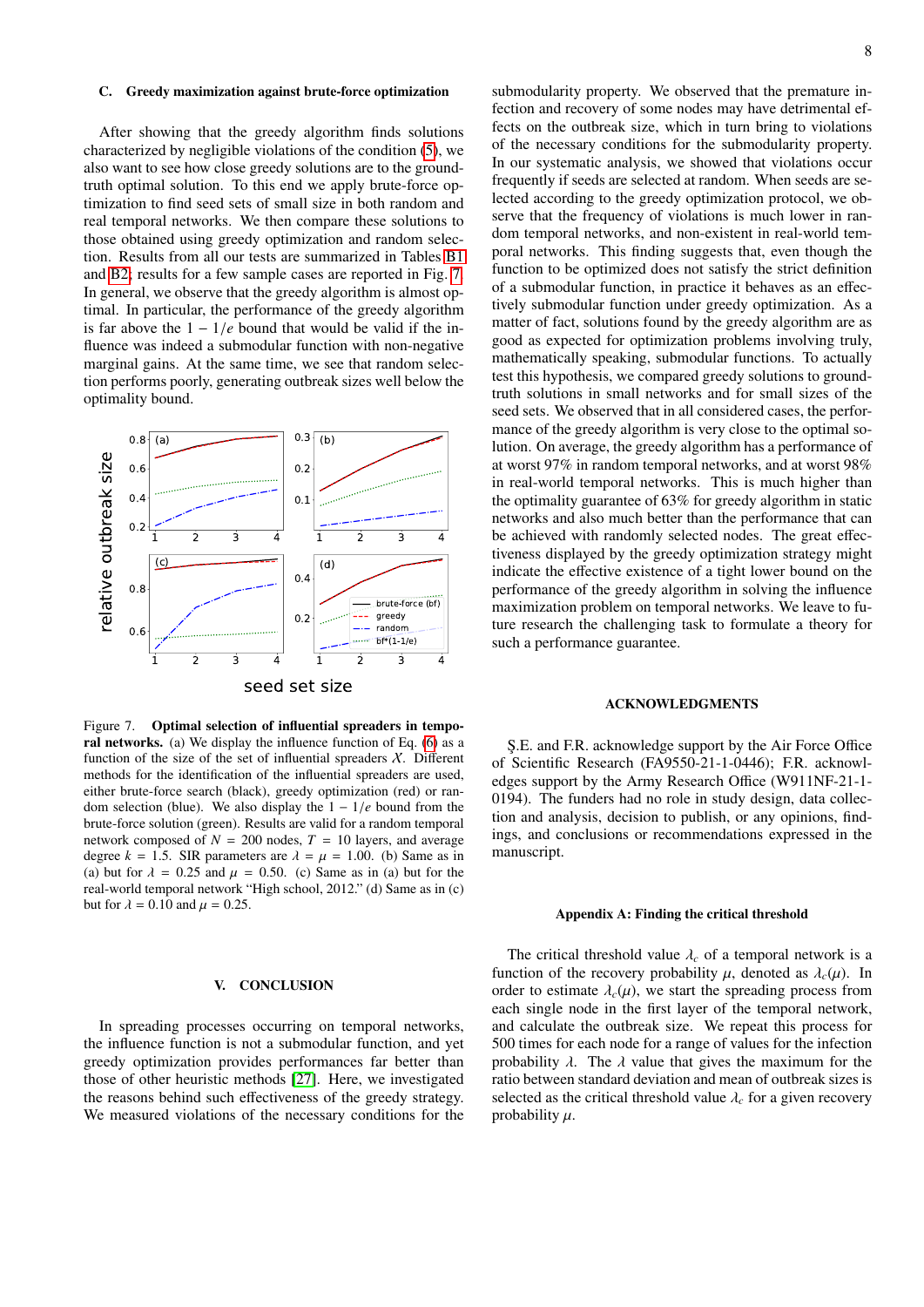### C. Greedy maximization against brute-force optimization

After showing that the greedy algorithm finds solutions characterized by negligible violations of the condition [\(5\)](#page-2-5), we also want to see how close greedy solutions are to the groundtruth optimal solution. To this end we apply brute-force optimization to find seed sets of small size in both random and real temporal networks. We then compare these solutions to those obtained using greedy optimization and random selection. Results from all our tests are summarized in Tables [B1](#page-1-0) and [B2;](#page-8-0) results for a few sample cases are reported in Fig. [7.](#page-7-0) In general, we observe that the greedy algorithm is almost optimal. In particular, the performance of the greedy algorithm is far above the  $1 - 1/e$  bound that would be valid if the influence was indeed a submodular function with non-negative marginal gains. At the same time, we see that random selection performs poorly, generating outbreak sizes well below the optimality bound.



<span id="page-7-0"></span>Figure 7. Optimal selection of influential spreaders in temporal networks. (a) We display the influence function of Eq. [\(6\)](#page-2-2) as a function of the size of the set of influential spreaders  $\chi$ . Different methods for the identification of the influential spreaders are used, either brute-force search (black), greedy optimization (red) or random selection (blue). We also display the 1 <sup>−</sup> <sup>1</sup>/*<sup>e</sup>* bound from the brute-force solution (green). Results are valid for a random temporal network composed of  $N = 200$  nodes,  $T = 10$  layers, and average degree  $k = 1.5$ . SIR parameters are  $\lambda = \mu = 1.00$ . (b) Same as in (a) but for  $\lambda = 0.25$  and  $\mu = 0.50$ . (c) Same as in (a) but for the real-world temporal network "High school, 2012." (d) Same as in (c) but for  $\lambda = 0.10$  and  $\mu = 0.25$ .

### V. CONCLUSION

In spreading processes occurring on temporal networks, the influence function is not a submodular function, and yet greedy optimization provides performances far better than those of other heuristic methods [\[27\]](#page-9-13). Here, we investigated the reasons behind such effectiveness of the greedy strategy. We measured violations of the necessary conditions for the submodularity property. We observed that the premature infection and recovery of some nodes may have detrimental effects on the outbreak size, which in turn bring to violations of the necessary conditions for the submodularity property. In our systematic analysis, we showed that violations occur frequently if seeds are selected at random. When seeds are selected according to the greedy optimization protocol, we observe that the frequency of violations is much lower in random temporal networks, and non-existent in real-world temporal networks. This finding suggests that, even though the function to be optimized does not satisfy the strict definition of a submodular function, in practice it behaves as an effectively submodular function under greedy optimization. As a matter of fact, solutions found by the greedy algorithm are as good as expected for optimization problems involving truly, mathematically speaking, submodular functions. To actually test this hypothesis, we compared greedy solutions to groundtruth solutions in small networks and for small sizes of the seed sets. We observed that in all considered cases, the performance of the greedy algorithm is very close to the optimal solution. On average, the greedy algorithm has a performance of at worst 97% in random temporal networks, and at worst 98% in real-world temporal networks. This is much higher than the optimality guarantee of 63% for greedy algorithm in static networks and also much better than the performance that can be achieved with randomly selected nodes. The great effectiveness displayed by the greedy optimization strategy might indicate the effective existence of a tight lower bound on the performance of the greedy algorithm in solving the influence maximization problem on temporal networks. We leave to future research the challenging task to formulate a theory for such a performance guarantee.

### ACKNOWLEDGMENTS

S.E. and F.R. acknowledge support by the Air Force Office of Scientific Research (FA9550-21-1-0446); F.R. acknowledges support by the Army Research Office (W911NF-21-1- 0194). The funders had no role in study design, data collection and analysis, decision to publish, or any opinions, findings, and conclusions or recommendations expressed in the manuscript.

#### Appendix A: Finding the critical threshold

The critical threshold value  $\lambda_c$  of a temporal network is a function of the recovery probability  $\mu$ , denoted as  $\lambda_c(\mu)$ . In order to estimate  $\lambda_c(\mu)$ , we start the spreading process from each single node in the first layer of the temporal network, and calculate the outbreak size. We repeat this process for 500 times for each node for a range of values for the infection probability  $\lambda$ . The  $\lambda$  value that gives the maximum for the ratio between standard deviation and mean of outbreak sizes is selected as the critical threshold value  $\lambda_c$  for a given recovery probability  $u$ .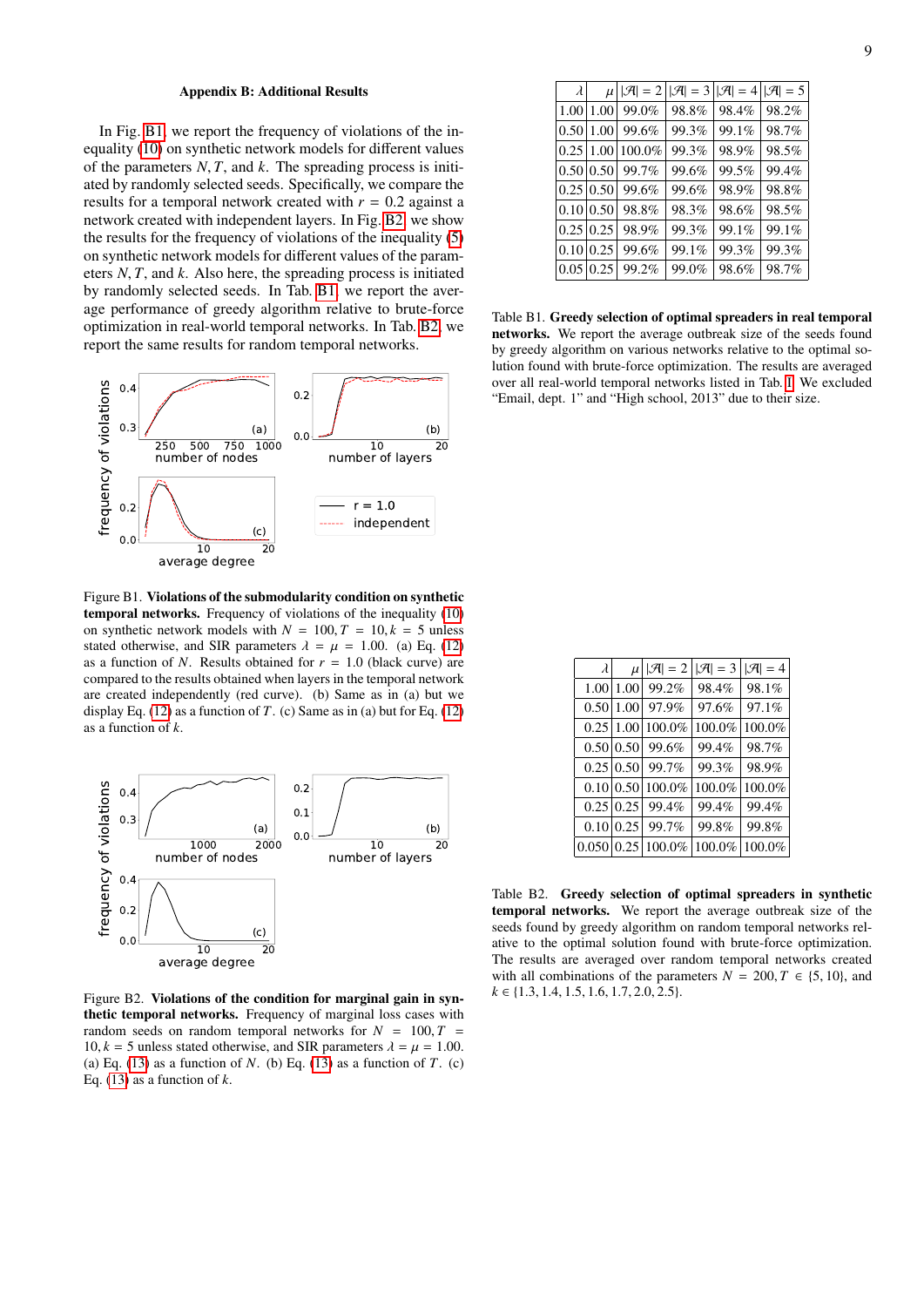### Appendix B: Additional Results

In Fig. [B1,](#page-4-0) we report the frequency of violations of the inequality [\(10\)](#page-3-1) on synthetic network models for different values of the parameters *<sup>N</sup>*, *<sup>T</sup>*, and *<sup>k</sup>*. The spreading process is initiated by randomly selected seeds. Specifically, we compare the results for a temporal network created with  $r = 0.2$  against a network created with independent layers. In Fig. [B2,](#page-5-0) we show the results for the frequency of violations of the inequality [\(5\)](#page-2-5) on synthetic network models for different values of the parameters *<sup>N</sup>*, *<sup>T</sup>*, and *<sup>k</sup>*. Also here, the spreading process is initiated by randomly selected seeds. In Tab. [B1,](#page-1-0) we report the average performance of greedy algorithm relative to brute-force optimization in real-world temporal networks. In Tab. [B2,](#page-8-0) we report the same results for random temporal networks.



Figure B1. Violations of the submodularity condition on synthetic temporal networks. Frequency of violations of the inequality [\(10\)](#page-3-1) on synthetic network models with  $N = 100, T = 10, k = 5$  unless stated otherwise, and SIR parameters  $\lambda = \mu = 1.00$ . (a) Eq. [\(12\)](#page-4-1) as a function of *N*. Results obtained for  $r = 1.0$  (black curve) are compared to the results obtained when layers in the temporal network are created independently (red curve). (b) Same as in (a) but we display Eq.  $(12)$  as a function of *T*.  $(c)$  Same as in  $(a)$  but for Eq.  $(12)$ as a function of *k*.



Figure B2. Violations of the condition for marginal gain in synthetic temporal networks. Frequency of marginal loss cases with random seeds on random temporal networks for  $N = 100, T =$ 10,  $k = 5$  unless stated otherwise, and SIR parameters  $\lambda = \mu = 1.00$ . (a) Eq.  $(13)$  as a function of *N*. (b) Eq.  $(13)$  as a function of *T*. (c) Eq. [\(13\)](#page-5-2) as a function of *k*.

| $\lambda$ | $\mu$ | $ \mathcal{A} =2$ | $  \mathcal{A} =3$ | $ \mathcal{A} =4$ | $ \mathcal{A} =5$ |
|-----------|-------|-------------------|--------------------|-------------------|-------------------|
| 1.00      | 1.00  | 99.0%             | 98.8%              | 98.4%             | 98.2%             |
| 0.50      | 1.00  | 99.6%             | 99.3%              | 99.1%             | 98.7%             |
| 0.25      | 1.00  | 100.0%            | 99.3%              | 98.9%             | 98.5%             |
| 0.50 0.50 |       | 99.7%             | 99.6%              | 99.5%             | 99.4%             |
| 0.25 0.50 |       | 99.6%             | 99.6%              | 98.9%             | 98.8%             |
| 0.10      | 0.50  | 98.8%             | 98.3%              | 98.6%             | 98.5%             |
| 0.25      | 0.25  | 98.9%             | 99.3%              | 99.1%             | 99.1%             |
| 0.10      | 0.25  | 99.6%             | 99.1%              | 99.3%             | 99.3%             |
| 0.05      | 0.25  | 99.2%             | 99.0%              | 98.6%             | 98.7%             |
|           |       |                   |                    |                   |                   |

Table B1. Greedy selection of optimal spreaders in real temporal networks. We report the average outbreak size of the seeds found by greedy algorithm on various networks relative to the optimal solution found with brute-force optimization. The results are averaged over all real-world temporal networks listed in Tab. [I.](#page-1-0) We excluded "Email, dept. 1" and "High school, 2013" due to their size.

| $\lambda$        | $\mu$ | $ \mathcal{A} =2$ | $ \mathcal{A} =3$ | $ \mathcal{A} =4$ |
|------------------|-------|-------------------|-------------------|-------------------|
| 1.00             | 1.00  | 99.2%             | 98.4%             | 98.1%             |
| 0.50             | 1.00  | 97.9%             | 97.6%             | 97.1%             |
| 0.25             | 1.00  | 100.0%            | 100.0%            | 100.0%            |
| 0.50             | 0.50  | 99.6%             | 99.4%             | 98.7%             |
| 0.25             | 0.50  | 99.7%             | 99.3%             | 98.9%             |
| 0.10             | 0.50  | 100.0%            | 100.0%            | 100.0%            |
| $0.25 \mid 0.25$ |       | 99.4%             | 99.4%             | 99.4%             |
| 0.10             | 0.25  | 99.7%             | 99.8%             | 99.8%             |
| 0.050            | 0.25  | 100.0%            | 100.0%            | 100.0%            |
|                  |       |                   |                   |                   |

<span id="page-8-0"></span>Table B2. Greedy selection of optimal spreaders in synthetic temporal networks. We report the average outbreak size of the seeds found by greedy algorithm on random temporal networks relative to the optimal solution found with brute-force optimization. The results are averaged over random temporal networks created with all combinations of the parameters  $N = 200, T \in \{5, 10\}$ , and *<sup>k</sup>* ∈ {1.3, <sup>1</sup>.4, <sup>1</sup>.5, <sup>1</sup>.6, <sup>1</sup>.7, <sup>2</sup>.0, <sup>2</sup>.5}.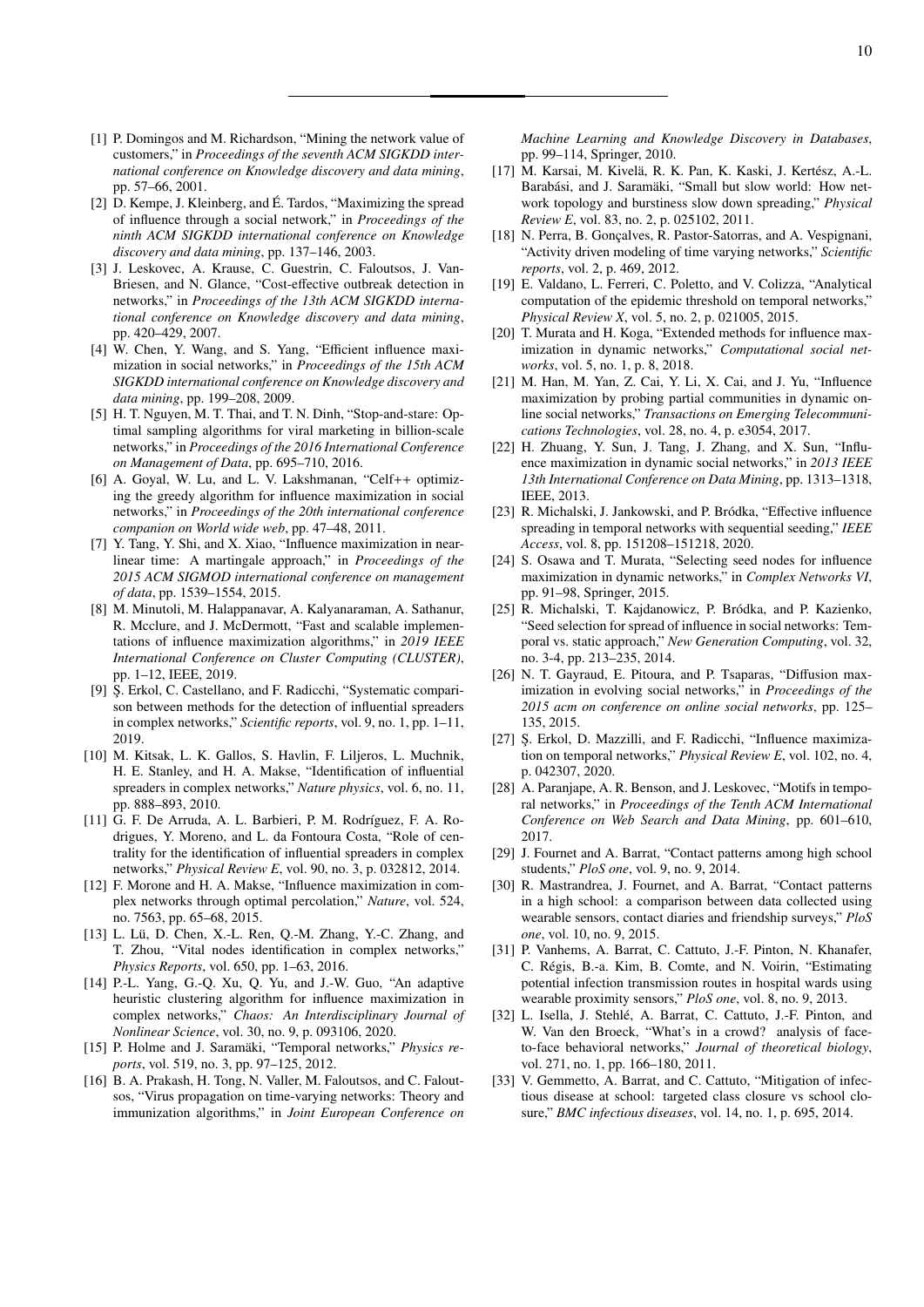- <span id="page-9-0"></span>[1] P. Domingos and M. Richardson, "Mining the network value of customers," in *Proceedings of the seventh ACM SIGKDD international conference on Knowledge discovery and data mining*, pp. 57–66, 2001.
- <span id="page-9-1"></span>[2] D. Kempe, J. Kleinberg, and E. Tardos, "Maximizing the spread ´ of influence through a social network," in *Proceedings of the ninth ACM SIGKDD international conference on Knowledge discovery and data mining*, pp. 137–146, 2003.
- [3] J. Leskovec, A. Krause, C. Guestrin, C. Faloutsos, J. Van-Briesen, and N. Glance, "Cost-effective outbreak detection in networks," in *Proceedings of the 13th ACM SIGKDD international conference on Knowledge discovery and data mining*, pp. 420–429, 2007.
- [4] W. Chen, Y. Wang, and S. Yang, "Efficient influence maximization in social networks," in *Proceedings of the 15th ACM SIGKDD international conference on Knowledge discovery and data mining*, pp. 199–208, 2009.
- [5] H. T. Nguyen, M. T. Thai, and T. N. Dinh, "Stop-and-stare: Optimal sampling algorithms for viral marketing in billion-scale networks," in *Proceedings of the 2016 International Conference on Management of Data*, pp. 695–710, 2016.
- [6] A. Goyal, W. Lu, and L. V. Lakshmanan, "Celf++ optimizing the greedy algorithm for influence maximization in social networks," in *Proceedings of the 20th international conference companion on World wide web*, pp. 47–48, 2011.
- [7] Y. Tang, Y. Shi, and X. Xiao, "Influence maximization in nearlinear time: A martingale approach," in *Proceedings of the 2015 ACM SIGMOD international conference on management of data*, pp. 1539–1554, 2015.
- <span id="page-9-2"></span>[8] M. Minutoli, M. Halappanavar, A. Kalyanaraman, A. Sathanur, R. Mcclure, and J. McDermott, "Fast and scalable implementations of influence maximization algorithms," in *2019 IEEE International Conference on Cluster Computing (CLUSTER)*, pp. 1–12, IEEE, 2019.
- <span id="page-9-3"></span>[9] S¸. Erkol, C. Castellano, and F. Radicchi, "Systematic comparison between methods for the detection of influential spreaders in complex networks," *Scientific reports*, vol. 9, no. 1, pp. 1–11, 2019.
- [10] M. Kitsak, L. K. Gallos, S. Havlin, F. Liljeros, L. Muchnik, H. E. Stanley, and H. A. Makse, "Identification of influential spreaders in complex networks," *Nature physics*, vol. 6, no. 11, pp. 888–893, 2010.
- [11] G. F. De Arruda, A. L. Barbieri, P. M. Rodríguez, F. A. Rodrigues, Y. Moreno, and L. da Fontoura Costa, "Role of centrality for the identification of influential spreaders in complex networks," *Physical Review E*, vol. 90, no. 3, p. 032812, 2014.
- [12] F. Morone and H. A. Makse, "Influence maximization in complex networks through optimal percolation," *Nature*, vol. 524, no. 7563, pp. 65–68, 2015.
- [13] L. Lü, D. Chen, X.-L. Ren, Q.-M. Zhang, Y.-C. Zhang, and T. Zhou, "Vital nodes identification in complex networks," *Physics Reports*, vol. 650, pp. 1–63, 2016.
- <span id="page-9-4"></span>[14] P.-L. Yang, G.-Q. Xu, Q. Yu, and J.-W. Guo, "An adaptive heuristic clustering algorithm for influence maximization in complex networks," *Chaos: An Interdisciplinary Journal of Nonlinear Science*, vol. 30, no. 9, p. 093106, 2020.
- <span id="page-9-5"></span>[15] P. Holme and J. Saramäki, "Temporal networks," *Physics reports*, vol. 519, no. 3, pp. 97–125, 2012.
- <span id="page-9-6"></span>[16] B. A. Prakash, H. Tong, N. Valler, M. Faloutsos, and C. Faloutsos, "Virus propagation on time-varying networks: Theory and immunization algorithms," in *Joint European Conference on*

*Machine Learning and Knowledge Discovery in Databases*, pp. 99–114, Springer, 2010.

- [17] M. Karsai, M. Kivelä, R. K. Pan, K. Kaski, J. Kertész, A.-L. Barabási, and J. Saramäki, "Small but slow world: How network topology and burstiness slow down spreading," *Physical Review E*, vol. 83, no. 2, p. 025102, 2011.
- [18] N. Perra, B. Gonçalves, R. Pastor-Satorras, and A. Vespignani, "Activity driven modeling of time varying networks," *Scientific reports*, vol. 2, p. 469, 2012.
- <span id="page-9-7"></span>[19] E. Valdano, L. Ferreri, C. Poletto, and V. Colizza, "Analytical computation of the epidemic threshold on temporal networks," *Physical Review X*, vol. 5, no. 2, p. 021005, 2015.
- <span id="page-9-8"></span>[20] T. Murata and H. Koga, "Extended methods for influence maximization in dynamic networks," *Computational social networks*, vol. 5, no. 1, p. 8, 2018.
- [21] M. Han, M. Yan, Z. Cai, Y. Li, X. Cai, and J. Yu, "Influence maximization by probing partial communities in dynamic online social networks," *Transactions on Emerging Telecommunications Technologies*, vol. 28, no. 4, p. e3054, 2017.
- [22] H. Zhuang, Y. Sun, J. Tang, J. Zhang, and X. Sun, "Influence maximization in dynamic social networks," in *2013 IEEE 13th International Conference on Data Mining*, pp. 1313–1318, IEEE, 2013.
- <span id="page-9-9"></span>[23] R. Michalski, J. Jankowski, and P. Bródka, "Effective influence spreading in temporal networks with sequential seeding," *IEEE Access*, vol. 8, pp. 151208–151218, 2020.
- <span id="page-9-10"></span>[24] S. Osawa and T. Murata, "Selecting seed nodes for influence maximization in dynamic networks," in *Complex Networks VI*, pp. 91–98, Springer, 2015.
- <span id="page-9-11"></span>[25] R. Michalski, T. Kajdanowicz, P. Bródka, and P. Kazienko, "Seed selection for spread of influence in social networks: Temporal vs. static approach," *New Generation Computing*, vol. 32, no. 3-4, pp. 213–235, 2014.
- <span id="page-9-12"></span>[26] N. T. Gayraud, E. Pitoura, and P. Tsaparas, "Diffusion maximization in evolving social networks," in *Proceedings of the 2015 acm on conference on online social networks*, pp. 125– 135, 2015.
- <span id="page-9-13"></span>[27] Ş. Erkol, D. Mazzilli, and F. Radicchi, "Influence maximization on temporal networks," *Physical Review E*, vol. 102, no. 4, p. 042307, 2020.
- <span id="page-9-14"></span>[28] A. Paranjape, A. R. Benson, and J. Leskovec, "Motifs in temporal networks," in *Proceedings of the Tenth ACM International Conference on Web Search and Data Mining*, pp. 601–610, 2017.
- <span id="page-9-15"></span>[29] J. Fournet and A. Barrat, "Contact patterns among high school students," *PloS one*, vol. 9, no. 9, 2014.
- <span id="page-9-16"></span>[30] R. Mastrandrea, J. Fournet, and A. Barrat, "Contact patterns in a high school: a comparison between data collected using wearable sensors, contact diaries and friendship surveys," *PloS one*, vol. 10, no. 9, 2015.
- <span id="page-9-17"></span>[31] P. Vanhems, A. Barrat, C. Cattuto, J.-F. Pinton, N. Khanafer, C. Regis, B.-a. Kim, B. Comte, and N. Voirin, "Estimating ´ potential infection transmission routes in hospital wards using wearable proximity sensors," *PloS one*, vol. 8, no. 9, 2013.
- <span id="page-9-18"></span>[32] L. Isella, J. Stehlé, A. Barrat, C. Cattuto, J.-F. Pinton, and W. Van den Broeck, "What's in a crowd? analysis of faceto-face behavioral networks," *Journal of theoretical biology*, vol. 271, no. 1, pp. 166–180, 2011.
- <span id="page-9-19"></span>[33] V. Gemmetto, A. Barrat, and C. Cattuto, "Mitigation of infectious disease at school: targeted class closure vs school closure," *BMC infectious diseases*, vol. 14, no. 1, p. 695, 2014.